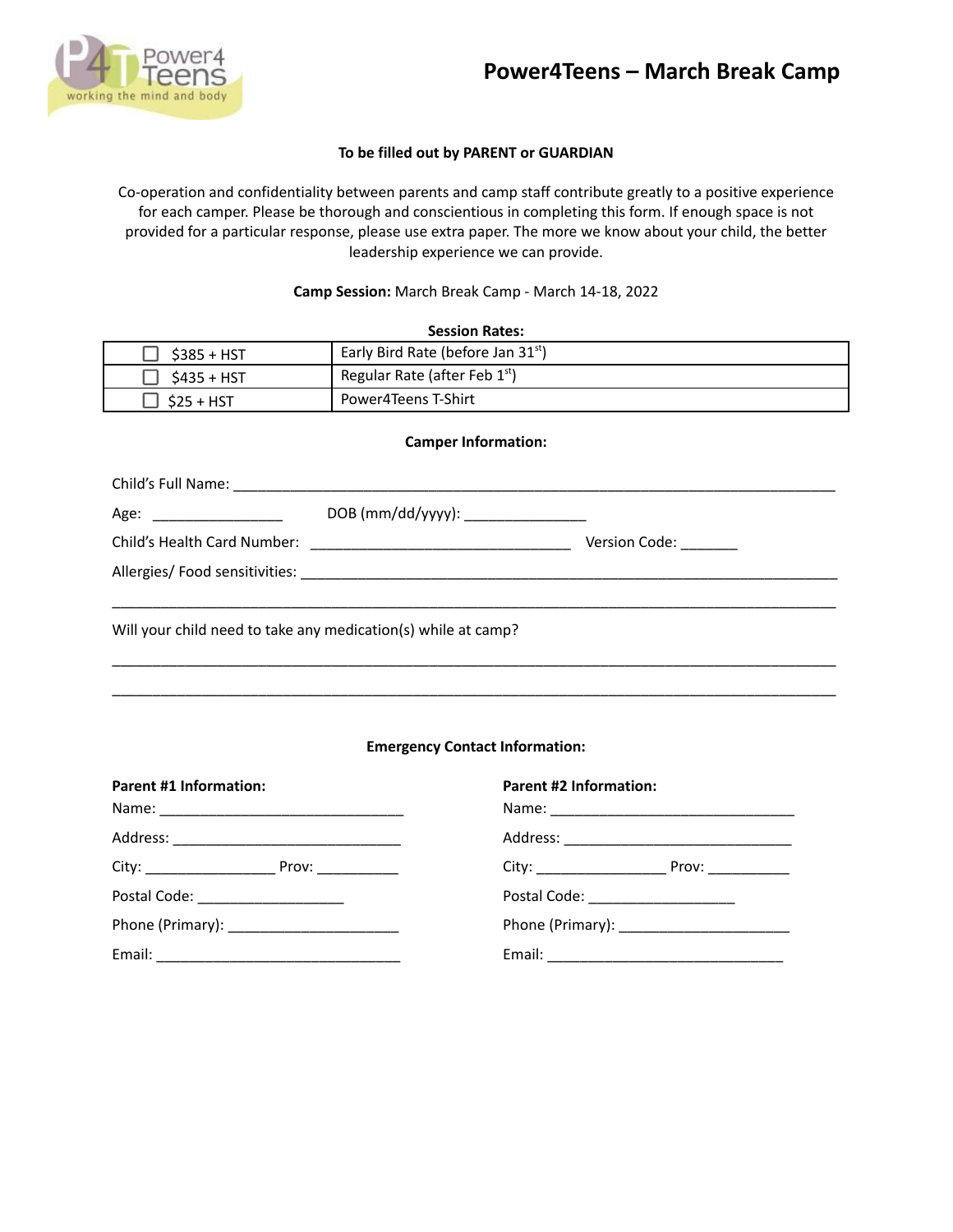



## **To be filled out by PARENT or GUARDIAN**

Co-operation and confidentiality between parents and camp staff contribute greatly to a positive experience for each camper. Please be thorough and conscientious in completing this form. If enough space is not provided for a particular response, please use extra paper. The more we know about your child, the better leadership experience we can provide.

### **Camp Session:** March Break Camp - March 14-18, 2022

| <b>Session Rates:</b> |                                      |  |
|-----------------------|--------------------------------------|--|
| $$385 + HST$          | Early Bird Rate (before Jan $31st$ ) |  |
| $$435 + HST$          | Regular Rate (after Feb 1st)         |  |
| $$25 + HST$           | Power4Teens T-Shirt                  |  |

#### **Camper Information:**

| Age: __________________                                       | DOB (mm/dd/yyyy): _________________ |               |  |  |
|---------------------------------------------------------------|-------------------------------------|---------------|--|--|
|                                                               |                                     | Version Code: |  |  |
|                                                               |                                     |               |  |  |
|                                                               |                                     |               |  |  |
| Will your child need to take any medication(s) while at camp? |                                     |               |  |  |
|                                                               |                                     |               |  |  |

## **Emergency Contact Information:**

\_\_\_\_\_\_\_\_\_\_\_\_\_\_\_\_\_\_\_\_\_\_\_\_\_\_\_\_\_\_\_\_\_\_\_\_\_\_\_\_\_\_\_\_\_\_\_\_\_\_\_\_\_\_\_\_\_\_\_\_\_\_\_\_\_\_\_\_\_\_\_\_\_\_\_\_\_\_\_\_\_\_\_\_\_\_\_\_\_

| <b>Parent #1 Information:</b>               | <b>Parent #2 Information:</b>    |  |
|---------------------------------------------|----------------------------------|--|
|                                             |                                  |  |
|                                             |                                  |  |
|                                             |                                  |  |
| Postal Code: <u>___________________</u>     | Postal Code: ___________________ |  |
| Phone (Primary): __________________________ |                                  |  |
|                                             |                                  |  |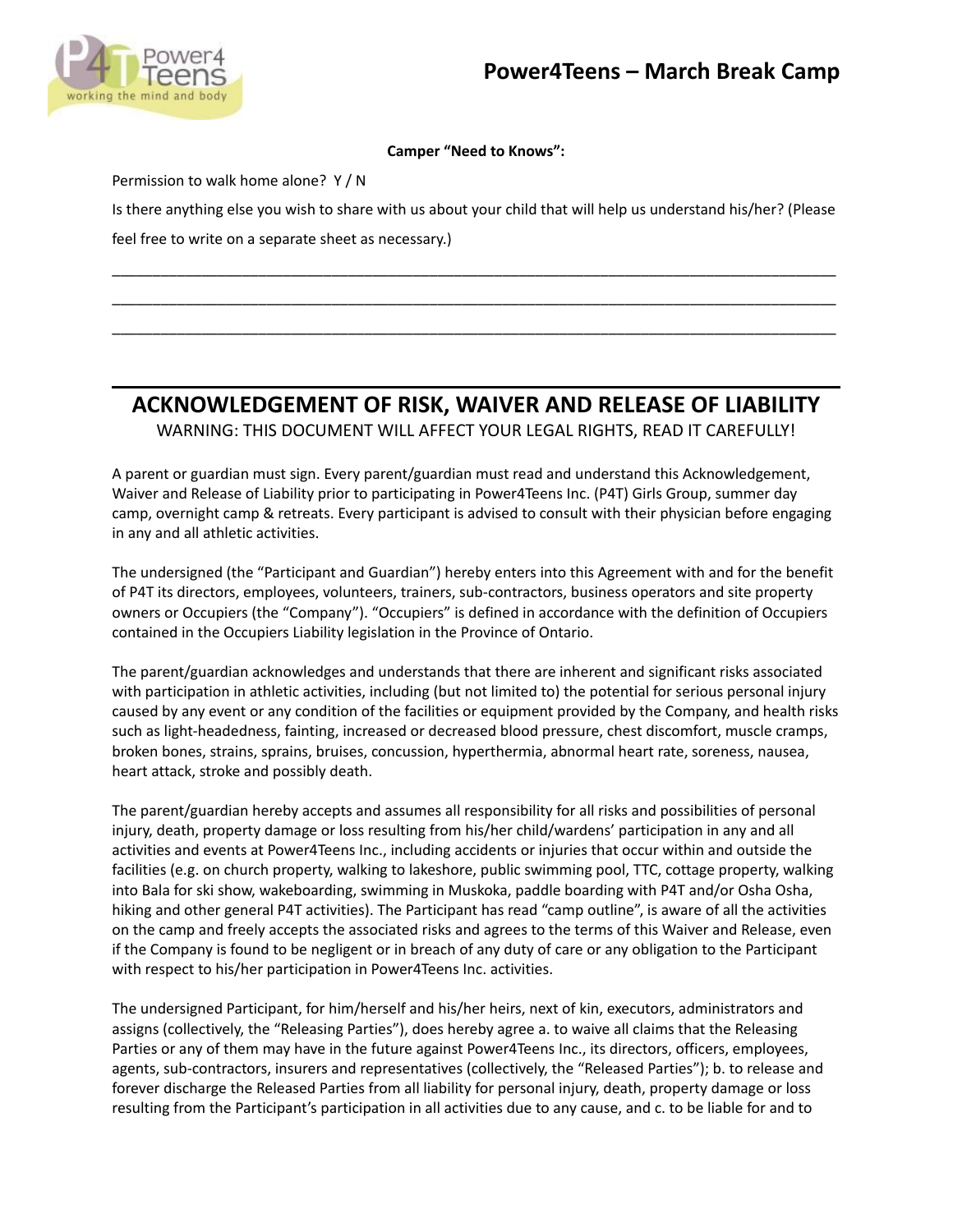

## **Camper "Need to Knows":**

Permission to walk home alone? Y / N

Is there anything else you wish to share with us about your child that will help us understand his/her? (Please feel free to write on a separate sheet as necessary.)

\_\_\_\_\_\_\_\_\_\_\_\_\_\_\_\_\_\_\_\_\_\_\_\_\_\_\_\_\_\_\_\_\_\_\_\_\_\_\_\_\_\_\_\_\_\_\_\_\_\_\_\_\_\_\_\_\_\_\_\_\_\_\_\_\_\_\_\_\_\_\_\_\_\_\_\_\_\_\_\_\_\_\_\_\_\_\_\_\_ \_\_\_\_\_\_\_\_\_\_\_\_\_\_\_\_\_\_\_\_\_\_\_\_\_\_\_\_\_\_\_\_\_\_\_\_\_\_\_\_\_\_\_\_\_\_\_\_\_\_\_\_\_\_\_\_\_\_\_\_\_\_\_\_\_\_\_\_\_\_\_\_\_\_\_\_\_\_\_\_\_\_\_\_\_\_\_\_\_ \_\_\_\_\_\_\_\_\_\_\_\_\_\_\_\_\_\_\_\_\_\_\_\_\_\_\_\_\_\_\_\_\_\_\_\_\_\_\_\_\_\_\_\_\_\_\_\_\_\_\_\_\_\_\_\_\_\_\_\_\_\_\_\_\_\_\_\_\_\_\_\_\_\_\_\_\_\_\_\_\_\_\_\_\_\_\_\_\_

# **ACKNOWLEDGEMENT OF RISK, WAIVER AND RELEASE OF LIABILITY**

WARNING: THIS DOCUMENT WILL AFFECT YOUR LEGAL RIGHTS, READ IT CAREFULLY!

A parent or guardian must sign. Every parent/guardian must read and understand this Acknowledgement, Waiver and Release of Liability prior to participating in Power4Teens Inc. (P4T) Girls Group, summer day camp, overnight camp & retreats. Every participant is advised to consult with their physician before engaging in any and all athletic activities.

The undersigned (the "Participant and Guardian") hereby enters into this Agreement with and for the benefit of P4T its directors, employees, volunteers, trainers, sub-contractors, business operators and site property owners or Occupiers (the "Company"). "Occupiers" is defined in accordance with the definition of Occupiers contained in the Occupiers Liability legislation in the Province of Ontario.

The parent/guardian acknowledges and understands that there are inherent and significant risks associated with participation in athletic activities, including (but not limited to) the potential for serious personal injury caused by any event or any condition of the facilities or equipment provided by the Company, and health risks such as light-headedness, fainting, increased or decreased blood pressure, chest discomfort, muscle cramps, broken bones, strains, sprains, bruises, concussion, hyperthermia, abnormal heart rate, soreness, nausea, heart attack, stroke and possibly death.

The parent/guardian hereby accepts and assumes all responsibility for all risks and possibilities of personal injury, death, property damage or loss resulting from his/her child/wardens' participation in any and all activities and events at Power4Teens Inc., including accidents or injuries that occur within and outside the facilities (e.g. on church property, walking to lakeshore, public swimming pool, TTC, cottage property, walking into Bala for ski show, wakeboarding, swimming in Muskoka, paddle boarding with P4T and/or Osha Osha, hiking and other general P4T activities). The Participant has read "camp outline", is aware of all the activities on the camp and freely accepts the associated risks and agrees to the terms of this Waiver and Release, even if the Company is found to be negligent or in breach of any duty of care or any obligation to the Participant with respect to his/her participation in Power4Teens Inc. activities.

The undersigned Participant, for him/herself and his/her heirs, next of kin, executors, administrators and assigns (collectively, the "Releasing Parties"), does hereby agree a. to waive all claims that the Releasing Parties or any of them may have in the future against Power4Teens Inc., its directors, officers, employees, agents, sub-contractors, insurers and representatives (collectively, the "Released Parties"); b. to release and forever discharge the Released Parties from all liability for personal injury, death, property damage or loss resulting from the Participant's participation in all activities due to any cause, and c. to be liable for and to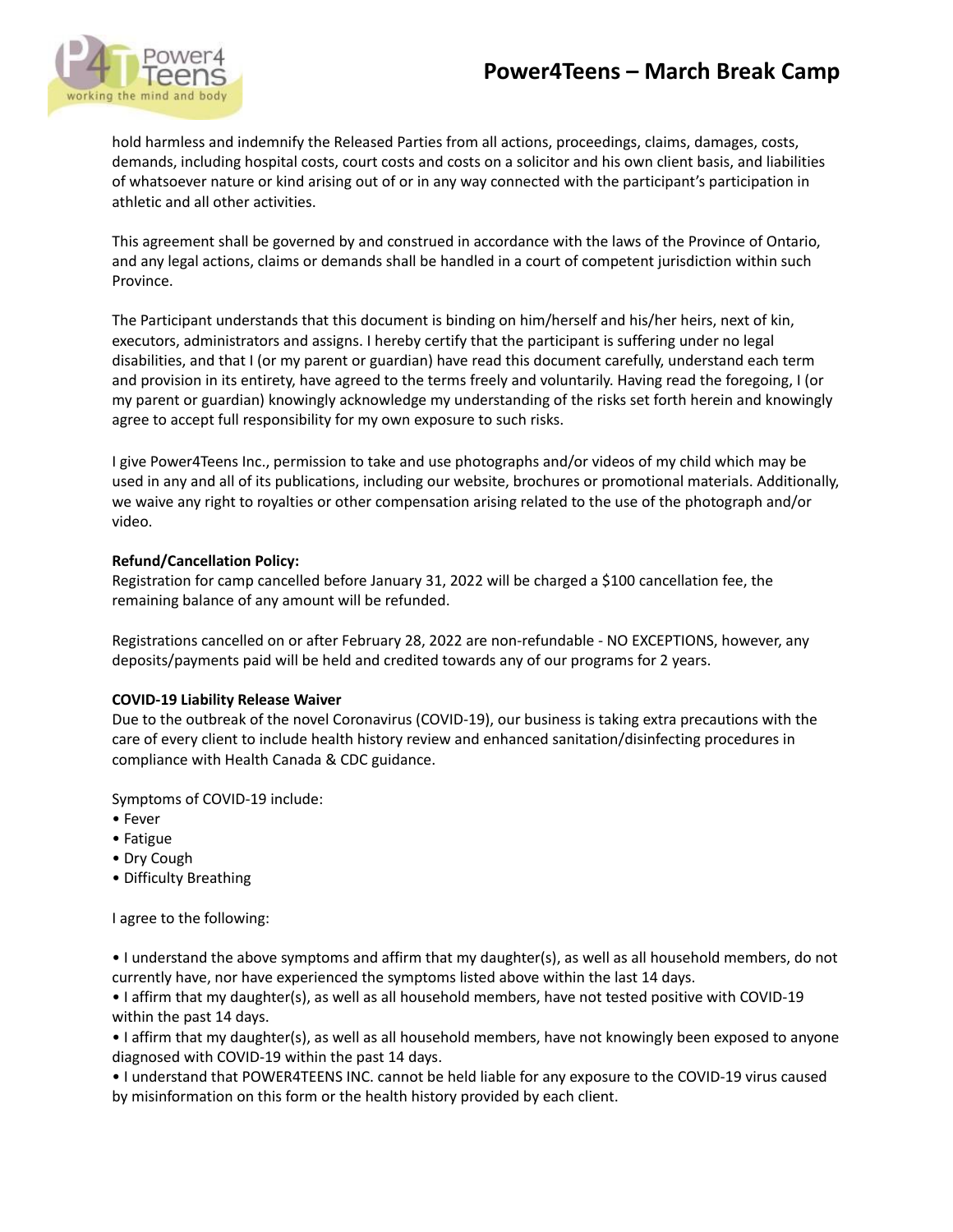# **Power4Teens – March Break Camp**



hold harmless and indemnify the Released Parties from all actions, proceedings, claims, damages, costs, demands, including hospital costs, court costs and costs on a solicitor and his own client basis, and liabilities of whatsoever nature or kind arising out of or in any way connected with the participant's participation in athletic and all other activities.

This agreement shall be governed by and construed in accordance with the laws of the Province of Ontario, and any legal actions, claims or demands shall be handled in a court of competent jurisdiction within such Province.

The Participant understands that this document is binding on him/herself and his/her heirs, next of kin, executors, administrators and assigns. I hereby certify that the participant is suffering under no legal disabilities, and that I (or my parent or guardian) have read this document carefully, understand each term and provision in its entirety, have agreed to the terms freely and voluntarily. Having read the foregoing, I (or my parent or guardian) knowingly acknowledge my understanding of the risks set forth herein and knowingly agree to accept full responsibility for my own exposure to such risks.

I give Power4Teens Inc., permission to take and use photographs and/or videos of my child which may be used in any and all of its publications, including our website, brochures or promotional materials. Additionally, we waive any right to royalties or other compensation arising related to the use of the photograph and/or video.

## **Refund/Cancellation Policy:**

Registration for camp cancelled before January 31, 2022 will be charged a \$100 cancellation fee, the remaining balance of any amount will be refunded.

Registrations cancelled on or after February 28, 2022 are non-refundable - NO EXCEPTIONS, however, any deposits/payments paid will be held and credited towards any of our programs for 2 years.

### **COVID-19 Liability Release Waiver**

Due to the outbreak of the novel Coronavirus (COVID-19), our business is taking extra precautions with the care of every client to include health history review and enhanced sanitation/disinfecting procedures in compliance with Health Canada & CDC guidance.

Symptoms of COVID-19 include:

- Fever
- Fatigue
- Dry Cough
- Difficulty Breathing

I agree to the following:

• I understand the above symptoms and affirm that my daughter(s), as well as all household members, do not currently have, nor have experienced the symptoms listed above within the last 14 days.

• I affirm that my daughter(s), as well as all household members, have not tested positive with COVID-19 within the past 14 days.

• I affirm that my daughter(s), as well as all household members, have not knowingly been exposed to anyone diagnosed with COVID-19 within the past 14 days.

• I understand that POWER4TEENS INC. cannot be held liable for any exposure to the COVID-19 virus caused by misinformation on this form or the health history provided by each client.